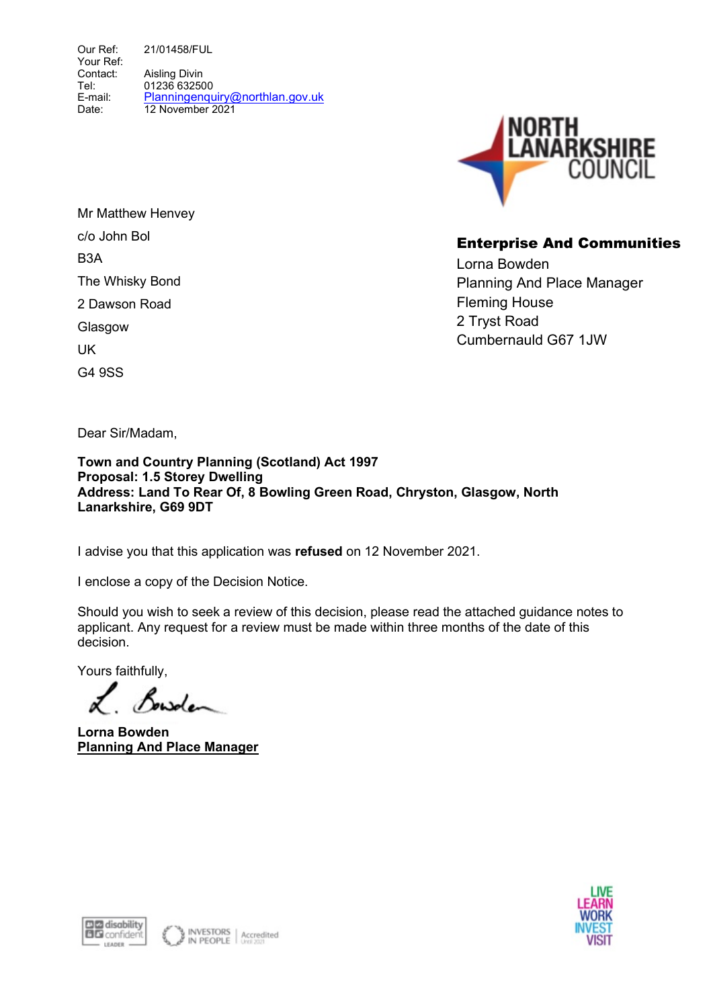Our Ref: Your Ref: Contact: Tel: E-mail: Date: 21/01458/FUL Aisling Divin 01236 632500 Planningenquiry@northlan.gov.uk 12 November 2021



# Enterprise And Communities

Lorna Bowden Planning And Place Manager Fleming House 2 Tryst Road Cumbernauld G67 1JW

Mr Matthew Henvey c/o John Bol B3A The Whisky Bond 2 Dawson Road **Glasgow** UK G4 9SS

Dear Sir/Madam,

#### Town and Country Planning (Scotland) Act 1997 Proposal: 1.5 Storey Dwelling Address: Land To Rear Of, 8 Bowling Green Road, Chryston, Glasgow, North Lanarkshire, G69 9DT

I advise you that this application was refused on 12 November 2021.

I enclose a copy of the Decision Notice.

Should you wish to seek a review of this decision, please read the attached guidance notes to applicant. Any request for a review must be made within three months of the date of this decision.

Yours faithfully,

Bowden

Lorna Bowden Planning And Place Manager



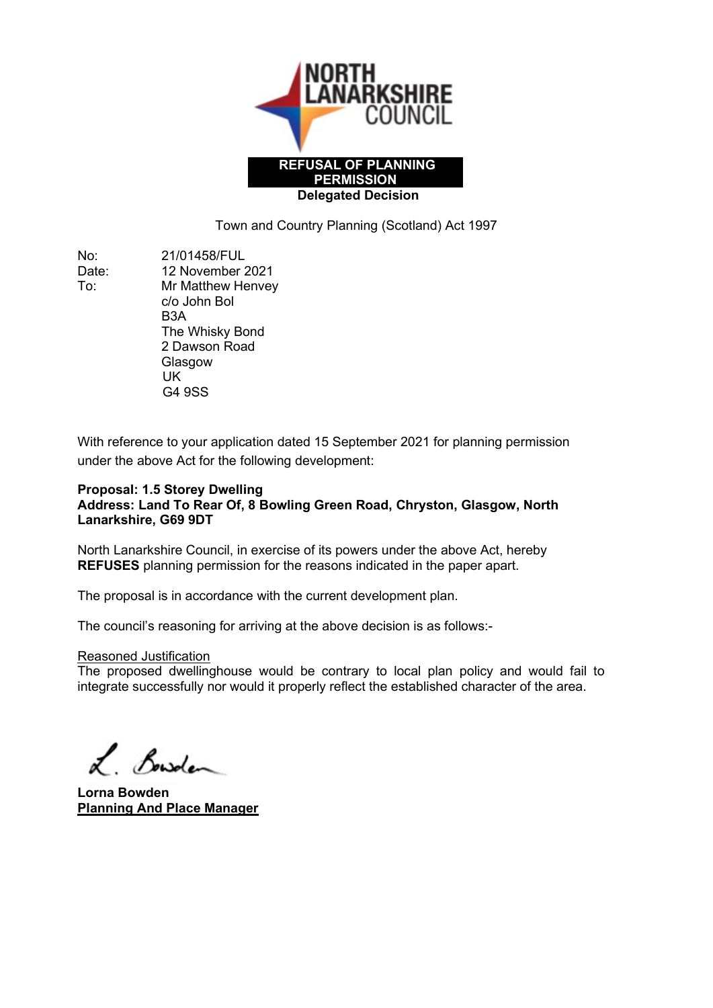

Town and Country Planning (Scotland) Act 1997

No: 21/01458/FUL Date: 12 November 2021 To: Mr Matthew Henvey c/o John Bol B3A The Whisky Bond 2 Dawson Road Glasgow UK

G4 9SS

With reference to your application dated 15 September 2021 for planning permission under the above Act for the following development:

#### Proposal: 1.5 Storey Dwelling Address: Land To Rear Of, 8 Bowling Green Road, Chryston, Glasgow, North Lanarkshire, G69 9DT

North Lanarkshire Council, in exercise of its powers under the above Act, hereby REFUSES planning permission for the reasons indicated in the paper apart.

The proposal is in accordance with the current development plan.

The council's reasoning for arriving at the above decision is as follows:-

#### Reasoned Justification

The proposed dwellinghouse would be contrary to local plan policy and would fail to integrate successfully nor would it properly reflect the established character of the area.

L. Bowden

Lorna Bowden Planning And Place Manager